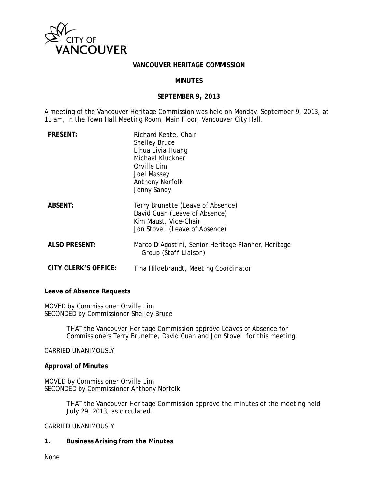

#### **VANCOUVER HERITAGE COMMISSION**

### **MINUTES**

#### **SEPTEMBER 9, 2013**

A meeting of the Vancouver Heritage Commission was held on Monday, September 9, 2013, at 11 am, in the Town Hall Meeting Room, Main Floor, Vancouver City Hall.

| <b>PRESENT:</b>             | Richard Keate, Chair<br><b>Shelley Bruce</b><br>Lihua Livia Huang<br>Michael Kluckner<br>Orville Lim<br>Joel Massey<br><b>Anthony Norfolk</b><br>Jenny Sandy |
|-----------------------------|--------------------------------------------------------------------------------------------------------------------------------------------------------------|
| <b>ABSENT:</b>              | Terry Brunette (Leave of Absence)<br>David Cuan (Leave of Absence)<br>Kim Maust, Vice-Chair<br>Jon Stovell (Leave of Absence)                                |
| <b>ALSO PRESENT:</b>        | Marco D'Agostini, Senior Heritage Planner, Heritage<br>Group <i>(Staff Liaison)</i>                                                                          |
| <b>CITY CLERK'S OFFICE:</b> | Tina Hildebrandt, Meeting Coordinator                                                                                                                        |

**Leave of Absence Requests** 

MOVED by Commissioner Orville Lim SECONDED by Commissioner Shelley Bruce

> THAT the Vancouver Heritage Commission approve Leaves of Absence for Commissioners Terry Brunette, David Cuan and Jon Stovell for this meeting.

CARRIED UNANIMOUSLY

#### **Approval of Minutes**

MOVED by Commissioner Orville Lim SECONDED by Commissioner Anthony Norfolk

> THAT the Vancouver Heritage Commission approve the minutes of the meeting held July 29, 2013, as circulated.

#### CARRIED UNANIMOUSLY

**1. Business Arising from the Minutes** 

None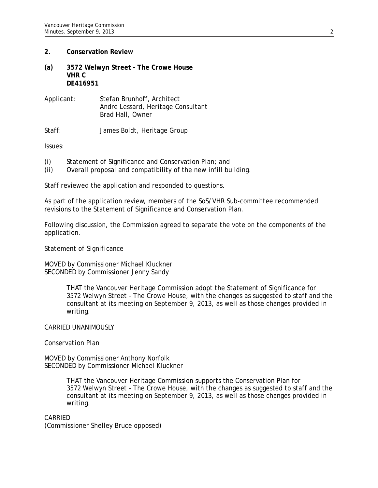## **2. Conservation Review**

- **(a) 3572 Welwyn Street The Crowe House VHR C DE416951**
- Applicant: Stefan Brunhoff, Architect Andre Lessard, Heritage Consultant Brad Hall, Owner

Staff: James Boldt, Heritage Group

Issues:

- (i) Statement of Significance and Conservation Plan; and
- (ii) Overall proposal and compatibility of the new infill building.

Staff reviewed the application and responded to questions.

As part of the application review, members of the SoS/VHR Sub-committee recommended revisions to the Statement of Significance and Conservation Plan.

Following discussion, the Commission agreed to separate the vote on the components of the application.

### *Statement of Significance*

MOVED by Commissioner Michael Kluckner SECONDED by Commissioner Jenny Sandy

> THAT the Vancouver Heritage Commission adopt the Statement of Significance for 3572 Welwyn Street - The Crowe House, with the changes as suggested to staff and the consultant at its meeting on September 9, 2013, as well as those changes provided in writing.

### CARRIED UNANIMOUSLY

### *Conservation Plan*

MOVED by Commissioner Anthony Norfolk SECONDED by Commissioner Michael Kluckner

> THAT the Vancouver Heritage Commission supports the Conservation Plan for 3572 Welwyn Street - The Crowe House, with the changes as suggested to staff and the consultant at its meeting on September 9, 2013, as well as those changes provided in writing.

### CARRIED

(Commissioner Shelley Bruce opposed)